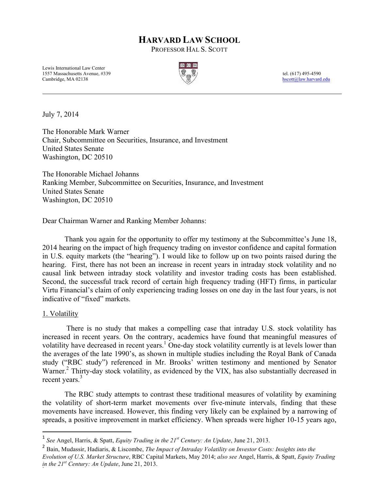## **HARVARD LAW SCHOOL**

PROFESSOR HAL S. SCOTT

Lewis International Law Center 1557 Massachusetts Avenue, #339 tel. (617) 495-4590<br>Cambridge, MA 02138 tel. (617) 495-4590



hscott@law.harvard.edu

July 7, 2014

The Honorable Mark Warner Chair, Subcommittee on Securities, Insurance, and Investment United States Senate Washington, DC 20510

The Honorable Michael Johanns Ranking Member, Subcommittee on Securities, Insurance, and Investment United States Senate Washington, DC 20510

Dear Chairman Warner and Ranking Member Johanns:

Thank you again for the opportunity to offer my testimony at the Subcommittee's June 18, 2014 hearing on the impact of high frequency trading on investor confidence and capital formation in U.S. equity markets (the "hearing"). I would like to follow up on two points raised during the hearing. First, there has not been an increase in recent years in intraday stock volatility and no causal link between intraday stock volatility and investor trading costs has been established. Second, the successful track record of certain high frequency trading (HFT) firms, in particular Virtu Financial's claim of only experiencing trading losses on one day in the last four years, is not indicative of "fixed" markets.

## 1. Volatility

!!!!!!!!!!!!!!!!!!!!!!!!!!!!!!!!!!!!!!!!!!!!!!!!!!!!!!!!!!!!

There is no study that makes a compelling case that intraday U.S. stock volatility has increased in recent years. On the contrary, academics have found that meaningful measures of volatility have decreased in recent years.<sup>1</sup> One-day stock volatility currently is at levels lower than the averages of the late 1990's, as shown in multiple studies including the Royal Bank of Canada study ("RBC study") referenced in Mr. Brooks' written testimony and mentioned by Senator Warner.<sup>2</sup> Thirty-day stock volatility, as evidenced by the VIX, has also substantially decreased in recent years.<sup>3</sup>

The RBC study attempts to contrast these traditional measures of volatility by examining the volatility of short-term market movements over five-minute intervals, finding that these movements have increased. However, this finding very likely can be explained by a narrowing of spreads, a positive improvement in market efficiency. When spreads were higher 10-15 years ago,

<sup>1</sup> *See* Angel, Harris, & Spatt, *Equity Trading in the 21st Century: An Update*, June 21, 2013.

<sup>2</sup> Bain, Mudassir, Hadiaris, & Liscombe, *The Impact of Intraday Volatility on Investor Costs: Insights into the Evolution of U.S. Market Structure*, RBC Capital Markets, May 2014; *also see* Angel, Harris, & Spatt, *Equity Trading in the*  $2I^{st}$  *Century: An Update*, June 21, 2013.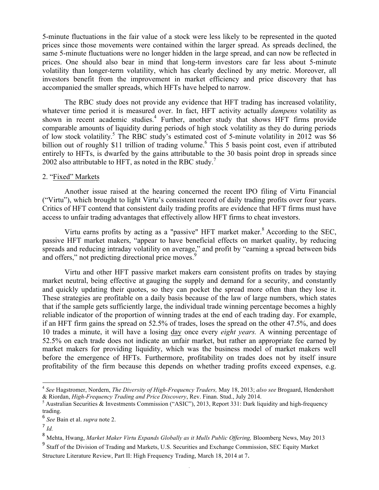5-minute fluctuations in the fair value of a stock were less likely to be represented in the quoted prices since those movements were contained within the larger spread. As spreads declined, the same 5-minute fluctuations were no longer hidden in the large spread, and can now be reflected in prices. One should also bear in mind that long-term investors care far less about 5-minute volatility than longer-term volatility, which has clearly declined by any metric. Moreover, all investors benefit from the improvement in market efficiency and price discovery that has accompanied the smaller spreads, which HFTs have helped to narrow.

The RBC study does not provide any evidence that HFT trading has increased volatility, whatever time period it is measured over. In fact, HFT activity actually *dampens* volatility as shown in recent academic studies. <sup>4</sup> Further, another study that shows HFT firms provide comparable amounts of liquidity during periods of high stock volatility as they do during periods of low stock volatility.<sup>5</sup> The RBC study's estimated cost of 5-minute volatility in 2012 was \$6 billion out of roughly \$11 trillion of trading volume.<sup>6</sup> This 5 basis point cost, even if attributed entirely to HFTs, is dwarfed by the gains attributable to the 30 basis point drop in spreads since 2002 also attributable to HFT, as noted in the RBC study.<sup>7</sup>

## 2. "Fixed" Markets

Another issue raised at the hearing concerned the recent IPO filing of Virtu Financial ("Virtu"), which brought to light Virtu's consistent record of daily trading profits over four years. Critics of HFT contend that consistent daily trading profits are evidence that HFT firms must have access to unfair trading advantages that effectively allow HFT firms to cheat investors.

Virtu earns profits by acting as a "passive" HFT market maker.<sup>8</sup> According to the SEC, passive HFT market makers, "appear to have beneficial effects on market quality, by reducing spreads and reducing intraday volatility on average," and profit by "earning a spread between bids and offers," not predicting directional price moves.

Virtu and other HFT passive market makers earn consistent profits on trades by staying market neutral, being effective at gauging the supply and demand for a security, and constantly and quickly updating their quotes, so they can pocket the spread more often than they lose it. These strategies are profitable on a daily basis because of the law of large numbers, which states that if the sample gets sufficiently large, the individual trade winning percentage becomes a highly reliable indicator of the proportion of winning trades at the end of each trading day. For example, if an HFT firm gains the spread on 52.5% of trades, loses the spread on the other 47.5%, and does 10 trades a minute, it will have a losing day once every *eight years.* A winning percentage of 52.5% on each trade does not indicate an unfair market, but rather an appropriate fee earned by market makers for providing liquidity, which was the business model of market makers well before the emergence of HFTs. Furthermore, profitability on trades does not by itself insure profitability of the firm because this depends on whether trading profits exceed expenses, e.g.

!!!!!!!!!!!!!!!!!!!!!!!!!!!!!!!!!!!!!!!!!!!!!!!!!!!!!!!!!!!!

<sup>9</sup> Staff of the Division of Trading and Markets, U.S. Securities and Exchange Commission, SEC Equity Market Structure Literature Review, Part II: High Frequency Trading, March 18, 2014 at 7.

<sup>4</sup> *See* Hagstromer, Nordern, *The Diversity of High-Frequency Traders,* May 18, 2013; *also see* Brogaard, Hendershott

<sup>&</sup>lt;sup>5</sup> Australian Securities & Investments Commission ("ASIC"), 2013, Report 331: Dark liquidity and high-frequency trading.

<sup>6</sup> *See* Bain et al. *supra* note 2.

<sup>7</sup> *Id.*

<sup>8</sup> Mehta, Hwang, *Market Maker Virtu Expands Globally as it Mulls Public Offering,* Bloomberg News, May 2013